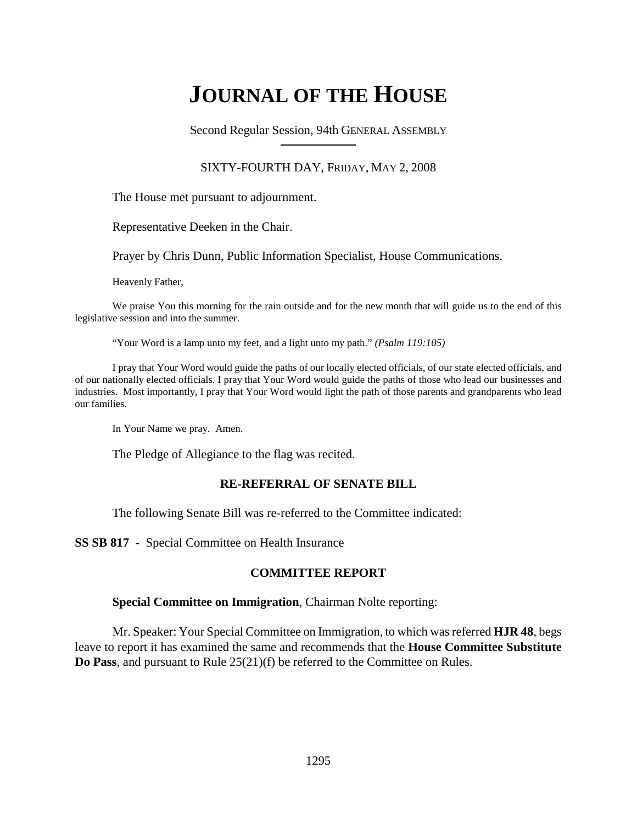# **JOURNAL OF THE HOUSE**

Second Regular Session, 94th GENERAL ASSEMBLY

#### SIXTY-FOURTH DAY, FRIDAY, MAY 2, 2008

The House met pursuant to adjournment.

Representative Deeken in the Chair.

Prayer by Chris Dunn, Public Information Specialist, House Communications.

Heavenly Father,

We praise You this morning for the rain outside and for the new month that will guide us to the end of this legislative session and into the summer.

"Your Word is a lamp unto my feet, and a light unto my path." *(Psalm 119:105)*

I pray that Your Word would guide the paths of our locally elected officials, of our state elected officials, and of our nationally elected officials. I pray that Your Word would guide the paths of those who lead our businesses and industries. Most importantly, I pray that Your Word would light the path of those parents and grandparents who lead our families.

In Your Name we pray. Amen.

The Pledge of Allegiance to the flag was recited.

#### **RE-REFERRAL OF SENATE BILL**

The following Senate Bill was re-referred to the Committee indicated:

**SS SB 817** - Special Committee on Health Insurance

#### **COMMITTEE REPORT**

#### **Special Committee on Immigration**, Chairman Nolte reporting:

Mr. Speaker: Your Special Committee on Immigration, to which was referred **HJR 48**, begs leave to report it has examined the same and recommends that the **House Committee Substitute Do Pass**, and pursuant to Rule 25(21)(f) be referred to the Committee on Rules.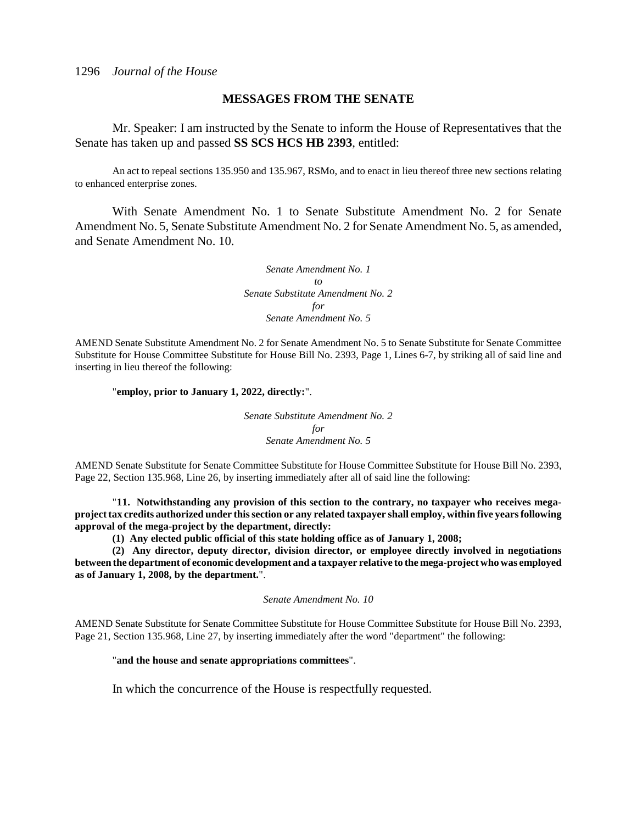#### **MESSAGES FROM THE SENATE**

Mr. Speaker: I am instructed by the Senate to inform the House of Representatives that the Senate has taken up and passed **SS SCS HCS HB 2393**, entitled:

An act to repeal sections 135.950 and 135.967, RSMo, and to enact in lieu thereof three new sections relating to enhanced enterprise zones.

With Senate Amendment No. 1 to Senate Substitute Amendment No. 2 for Senate Amendment No. 5, Senate Substitute Amendment No. 2 for Senate Amendment No. 5, as amended, and Senate Amendment No. 10.

> *Senate Amendment No. 1 to Senate Substitute Amendment No. 2 for Senate Amendment No. 5*

AMEND Senate Substitute Amendment No. 2 for Senate Amendment No. 5 to Senate Substitute for Senate Committee Substitute for House Committee Substitute for House Bill No. 2393, Page 1, Lines 6-7, by striking all of said line and inserting in lieu thereof the following:

#### "**employ, prior to January 1, 2022, directly:**".

*Senate Substitute Amendment No. 2 for Senate Amendment No. 5*

AMEND Senate Substitute for Senate Committee Substitute for House Committee Substitute for House Bill No. 2393, Page 22, Section 135.968, Line 26, by inserting immediately after all of said line the following:

"**11. Notwithstanding any provision of this section to the contrary, no taxpayer who receives megaproject tax credits authorized under this section or any related taxpayer shall employ, within five years following approval of the mega-project by the department, directly:**

**(1) Any elected public official of this state holding office as of January 1, 2008;**

**(2) Any director, deputy director, division director, or employee directly involved in negotiations between the department of economic development and a taxpayer relative to the mega-project who was employed as of January 1, 2008, by the department.**".

*Senate Amendment No. 10*

AMEND Senate Substitute for Senate Committee Substitute for House Committee Substitute for House Bill No. 2393, Page 21, Section 135.968, Line 27, by inserting immediately after the word "department" the following:

#### "**and the house and senate appropriations committees**".

In which the concurrence of the House is respectfully requested.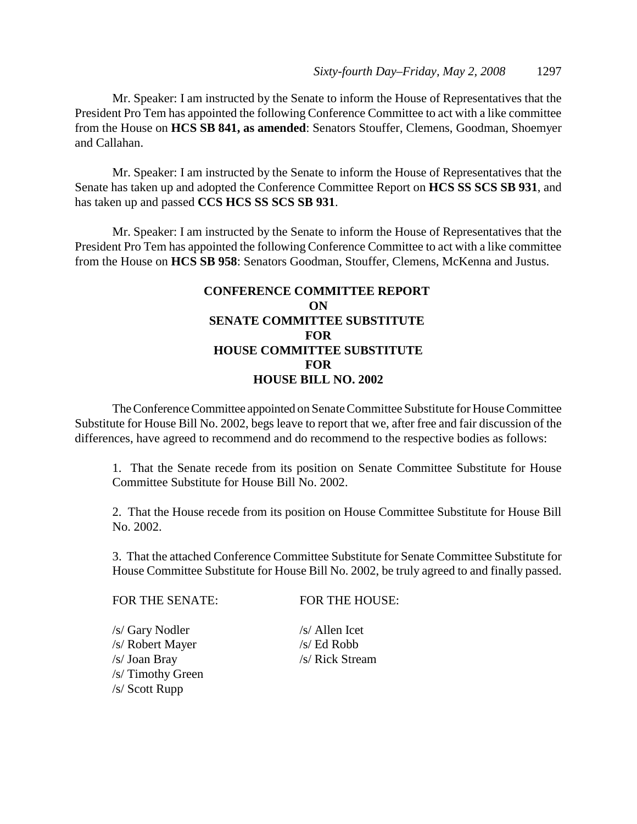Mr. Speaker: I am instructed by the Senate to inform the House of Representatives that the President Pro Tem has appointed the following Conference Committee to act with a like committee from the House on **HCS SB 841, as amended**: Senators Stouffer, Clemens, Goodman, Shoemyer and Callahan.

Mr. Speaker: I am instructed by the Senate to inform the House of Representatives that the Senate has taken up and adopted the Conference Committee Report on **HCS SS SCS SB 931**, and has taken up and passed **CCS HCS SS SCS SB 931**.

Mr. Speaker: I am instructed by the Senate to inform the House of Representatives that the President Pro Tem has appointed the following Conference Committee to act with a like committee from the House on **HCS SB 958**: Senators Goodman, Stouffer, Clemens, McKenna and Justus.

# **CONFERENCE COMMITTEE REPORT ON SENATE COMMITTEE SUBSTITUTE FOR HOUSE COMMITTEE SUBSTITUTE FOR HOUSE BILL NO. 2002**

The Conference Committee appointed on Senate Committee Substitute for House Committee Substitute for House Bill No. 2002, begs leave to report that we, after free and fair discussion of the differences, have agreed to recommend and do recommend to the respective bodies as follows:

1. That the Senate recede from its position on Senate Committee Substitute for House Committee Substitute for House Bill No. 2002.

2. That the House recede from its position on House Committee Substitute for House Bill No. 2002.

3. That the attached Conference Committee Substitute for Senate Committee Substitute for House Committee Substitute for House Bill No. 2002, be truly agreed to and finally passed.

FOR THE SENATE: FOR THE HOUSE:

/s/ Gary Nodler /s/ Allen Icet /s/ Robert Mayer /s/ Ed Robb /s/ Joan Bray /s/ Rick Stream /s/ Timothy Green /s/ Scott Rupp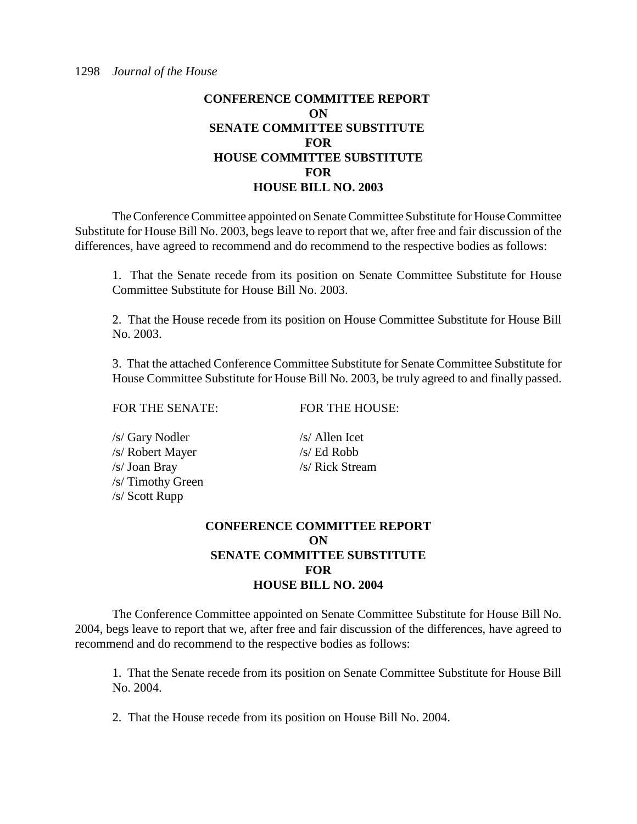The Conference Committee appointed on Senate Committee Substitute for House Committee Substitute for House Bill No. 2003, begs leave to report that we, after free and fair discussion of the differences, have agreed to recommend and do recommend to the respective bodies as follows:

1. That the Senate recede from its position on Senate Committee Substitute for House Committee Substitute for House Bill No. 2003.

2. That the House recede from its position on House Committee Substitute for House Bill No. 2003.

3. That the attached Conference Committee Substitute for Senate Committee Substitute for House Committee Substitute for House Bill No. 2003, be truly agreed to and finally passed.

FOR THE SENATE: FOR THE HOUSE:

| /s/ Gary Nodler   |  |
|-------------------|--|
| /s/ Robert Mayer  |  |
| /s/ Joan Bray     |  |
| /s/ Timothy Green |  |
| /s/ Scott Rupp    |  |

 $/s/$  Allen Icet  $/s/$  Ed Robb /s/ Rick Stream

# **CONFERENCE COMMITTEE REPORT ON SENATE COMMITTEE SUBSTITUTE FOR HOUSE BILL NO. 2004**

The Conference Committee appointed on Senate Committee Substitute for House Bill No. 2004, begs leave to report that we, after free and fair discussion of the differences, have agreed to recommend and do recommend to the respective bodies as follows:

1. That the Senate recede from its position on Senate Committee Substitute for House Bill No. 2004.

2. That the House recede from its position on House Bill No. 2004.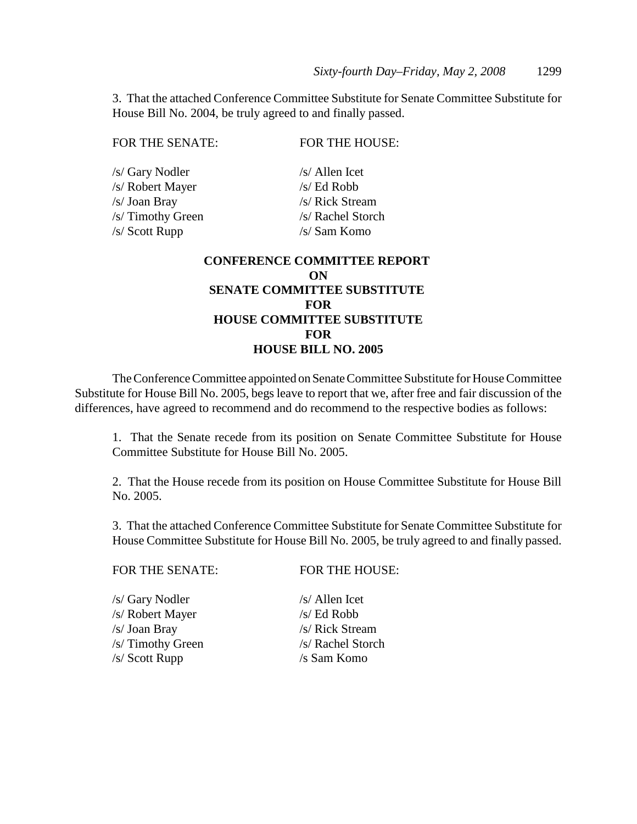3. That the attached Conference Committee Substitute for Senate Committee Substitute for House Bill No. 2004, be truly agreed to and finally passed.

| FOR THE SENATE:   | FOR THE HOUSE:                     |
|-------------------|------------------------------------|
| /s/ Gary Nodler   | $/s/$ Allen Icet                   |
| /s/ Robert Mayer  | $/s/$ Ed Robb                      |
| /s/ Joan Bray     | /s/ Rick Stream                    |
| /s/ Timothy Green | /s/ Rachel Storch                  |
| /s/ Scott Rupp    | /s/ Sam Komo                       |
|                   | <b>CONFERENCE COMMITTEE REPORT</b> |
|                   | ON                                 |
|                   | <b>SENATE COMMITTEE SUBSTITUTE</b> |
|                   | <b>FOR</b>                         |
|                   | <b>HOUSE COMMITTEE SUBSTITUTE</b>  |
|                   | FOR                                |
|                   |                                    |

#### **HOUSE BILL NO. 2005**

The Conference Committee appointed on Senate Committee Substitute for House Committee Substitute for House Bill No. 2005, begs leave to report that we, after free and fair discussion of the differences, have agreed to recommend and do recommend to the respective bodies as follows:

1. That the Senate recede from its position on Senate Committee Substitute for House Committee Substitute for House Bill No. 2005.

2. That the House recede from its position on House Committee Substitute for House Bill No. 2005.

3. That the attached Conference Committee Substitute for Senate Committee Substitute for House Committee Substitute for House Bill No. 2005, be truly agreed to and finally passed.

FOR THE SENATE: FOR THE HOUSE:

/s/ Gary Nodler /s/ Allen Icet /s/ Robert Mayer /s/ Ed Robb /s/ Joan Bray /s/ Rick Stream /s/ Timothy Green /s/ Rachel Storch /s/ Scott Rupp /s Sam Komo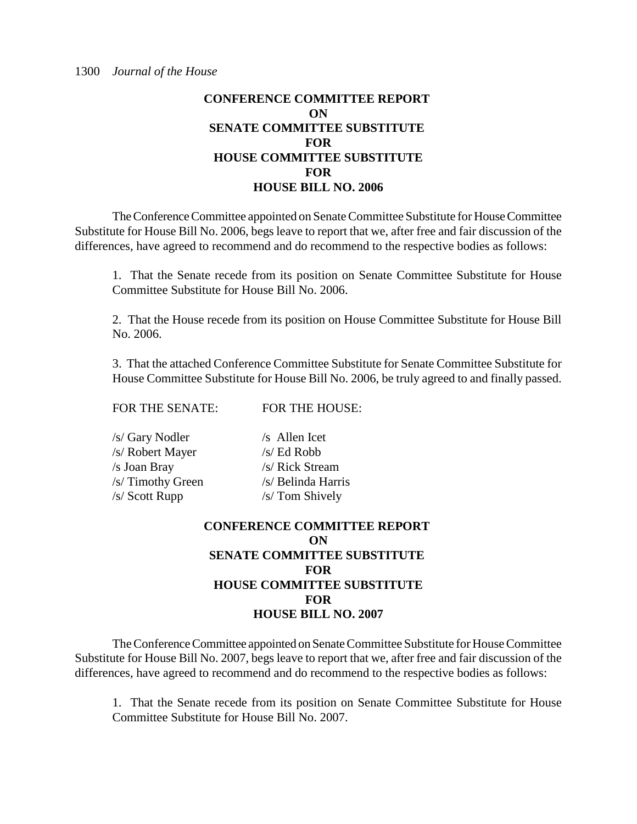The Conference Committee appointed on Senate Committee Substitute for House Committee Substitute for House Bill No. 2006, begs leave to report that we, after free and fair discussion of the differences, have agreed to recommend and do recommend to the respective bodies as follows:

1. That the Senate recede from its position on Senate Committee Substitute for House Committee Substitute for House Bill No. 2006.

2. That the House recede from its position on House Committee Substitute for House Bill No. 2006.

3. That the attached Conference Committee Substitute for Senate Committee Substitute for House Committee Substitute for House Bill No. 2006, be truly agreed to and finally passed.

FOR THE SENATE: FOR THE HOUSE:

| /s/ Gary Nodler   | $/s$ Allen Icet    |
|-------------------|--------------------|
| /s/ Robert Mayer  | $/s/$ Ed Robb      |
| /s Joan Bray      | /s/ Rick Stream    |
| /s/ Timothy Green | /s/ Belinda Harris |
| $/s/$ Scott Rupp  | /s/ Tom Shively    |

# **CONFERENCE COMMITTEE REPORT ON SENATE COMMITTEE SUBSTITUTE FOR HOUSE COMMITTEE SUBSTITUTE FOR HOUSE BILL NO. 2007**

The Conference Committee appointed on Senate Committee Substitute for House Committee Substitute for House Bill No. 2007, begs leave to report that we, after free and fair discussion of the differences, have agreed to recommend and do recommend to the respective bodies as follows:

1. That the Senate recede from its position on Senate Committee Substitute for House Committee Substitute for House Bill No. 2007.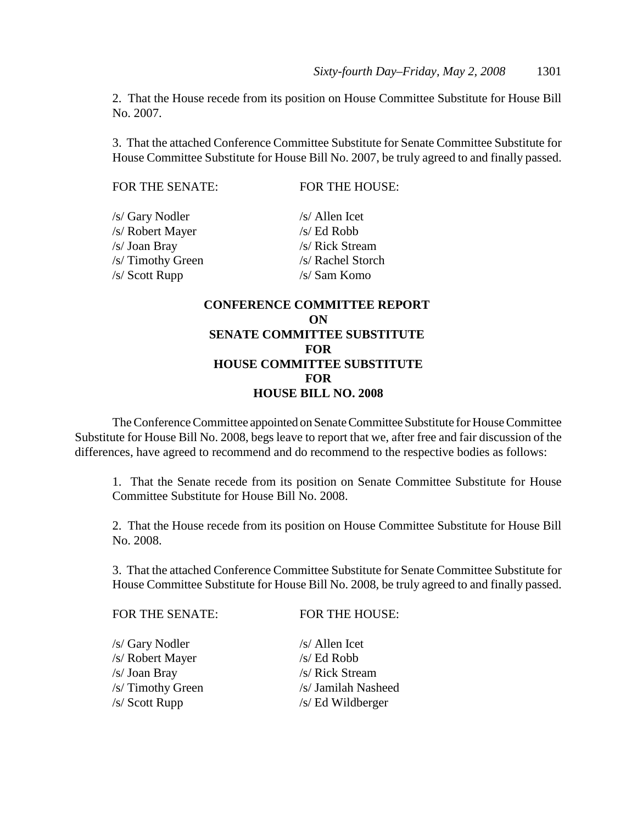2. That the House recede from its position on House Committee Substitute for House Bill No. 2007.

3. That the attached Conference Committee Substitute for Senate Committee Substitute for House Committee Substitute for House Bill No. 2007, be truly agreed to and finally passed.

FOR THE SENATE: FOR THE HOUSE:

| /s/ Gary Nodler   | $/s/$ Allen Icet  |
|-------------------|-------------------|
| /s/ Robert Mayer  | $/s/Ed$ Robb      |
| /s/ Joan Bray     | /s/ Rick Stream   |
| /s/ Timothy Green | /s/ Rachel Storch |
| /s/ Scott Rupp    | /s/ Sam Komo      |
|                   |                   |

# **CONFERENCE COMMITTEE REPORT ON SENATE COMMITTEE SUBSTITUTE FOR HOUSE COMMITTEE SUBSTITUTE FOR HOUSE BILL NO. 2008**

The Conference Committee appointed on Senate Committee Substitute for House Committee Substitute for House Bill No. 2008, begs leave to report that we, after free and fair discussion of the differences, have agreed to recommend and do recommend to the respective bodies as follows:

1. That the Senate recede from its position on Senate Committee Substitute for House Committee Substitute for House Bill No. 2008.

2. That the House recede from its position on House Committee Substitute for House Bill No. 2008.

3. That the attached Conference Committee Substitute for Senate Committee Substitute for House Committee Substitute for House Bill No. 2008, be truly agreed to and finally passed.

| <b>FOR THE HOUSE:</b> |
|-----------------------|
| $/s/$ Allen Icet      |
| $/s$ Ed Robb          |
| /s/ Rick Stream       |
| /s/ Jamilah Nasheed   |
| /s/ Ed Wildberger     |
|                       |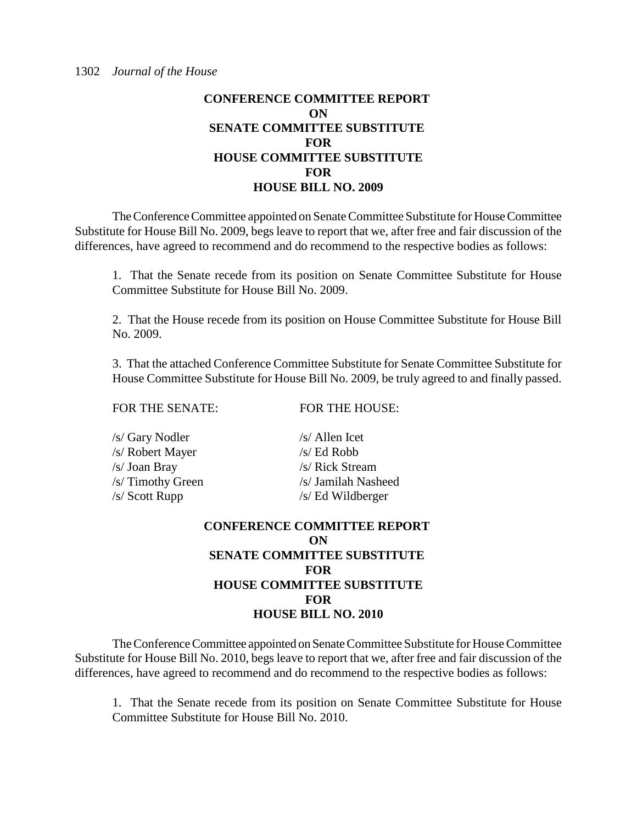The Conference Committee appointed on Senate Committee Substitute for House Committee Substitute for House Bill No. 2009, begs leave to report that we, after free and fair discussion of the differences, have agreed to recommend and do recommend to the respective bodies as follows:

1. That the Senate recede from its position on Senate Committee Substitute for House Committee Substitute for House Bill No. 2009.

2. That the House recede from its position on House Committee Substitute for House Bill No. 2009.

3. That the attached Conference Committee Substitute for Senate Committee Substitute for House Committee Substitute for House Bill No. 2009, be truly agreed to and finally passed.

FOR THE SENATE: FOR THE HOUSE:

| /s/ Gary Nodler   | $/s/$ Allen Icet    |
|-------------------|---------------------|
| /s/ Robert Mayer  | $/s/Ed$ Robb        |
| /s/ Joan Bray     | /s/ Rick Stream     |
| /s/ Timothy Green | /s/ Jamilah Nasheed |
| /s/ Scott Rupp    | /s/ Ed Wildberger   |
|                   |                     |

# **CONFERENCE COMMITTEE REPORT ON SENATE COMMITTEE SUBSTITUTE FOR HOUSE COMMITTEE SUBSTITUTE FOR HOUSE BILL NO. 2010**

The Conference Committee appointed on Senate Committee Substitute for House Committee Substitute for House Bill No. 2010, begs leave to report that we, after free and fair discussion of the differences, have agreed to recommend and do recommend to the respective bodies as follows:

1. That the Senate recede from its position on Senate Committee Substitute for House Committee Substitute for House Bill No. 2010.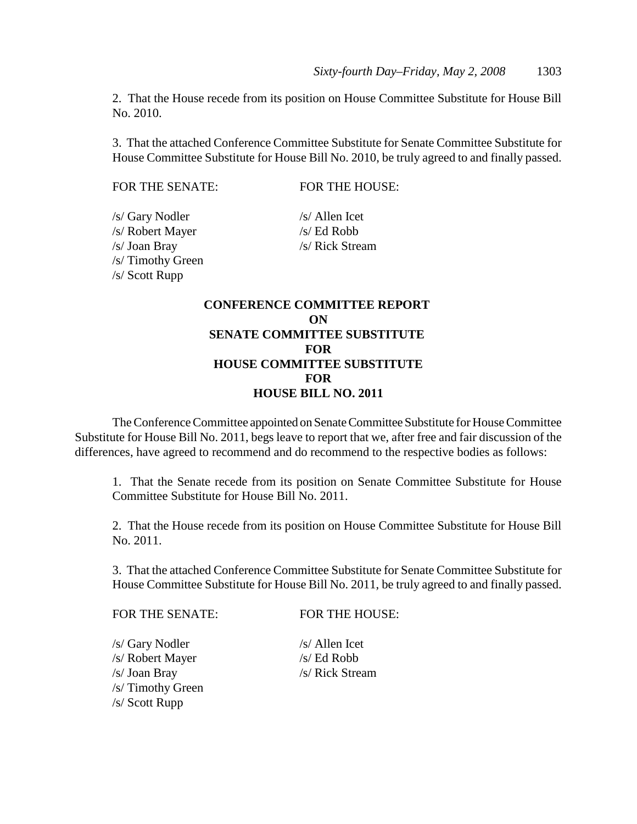2. That the House recede from its position on House Committee Substitute for House Bill No. 2010.

3. That the attached Conference Committee Substitute for Senate Committee Substitute for House Committee Substitute for House Bill No. 2010, be truly agreed to and finally passed.

FOR THE SENATE: FOR THE HOUSE:

/s/ Gary Nodler /s/ Allen Icet /s/ Robert Mayer /s/ Ed Robb /s/ Joan Bray /s/ Rick Stream /s/ Timothy Green /s/ Scott Rupp

# **CONFERENCE COMMITTEE REPORT ON SENATE COMMITTEE SUBSTITUTE FOR HOUSE COMMITTEE SUBSTITUTE FOR HOUSE BILL NO. 2011**

The Conference Committee appointed on Senate Committee Substitute for House Committee Substitute for House Bill No. 2011, begs leave to report that we, after free and fair discussion of the differences, have agreed to recommend and do recommend to the respective bodies as follows:

1. That the Senate recede from its position on Senate Committee Substitute for House Committee Substitute for House Bill No. 2011.

2. That the House recede from its position on House Committee Substitute for House Bill No. 2011.

3. That the attached Conference Committee Substitute for Senate Committee Substitute for House Committee Substitute for House Bill No. 2011, be truly agreed to and finally passed.

FOR THE SENATE: FOR THE HOUSE:

/s/ Gary Nodler /s/ Allen Icet /s/ Robert Mayer /s/ Ed Robb /s/ Joan Bray /s/ Rick Stream /s/ Timothy Green /s/ Scott Rupp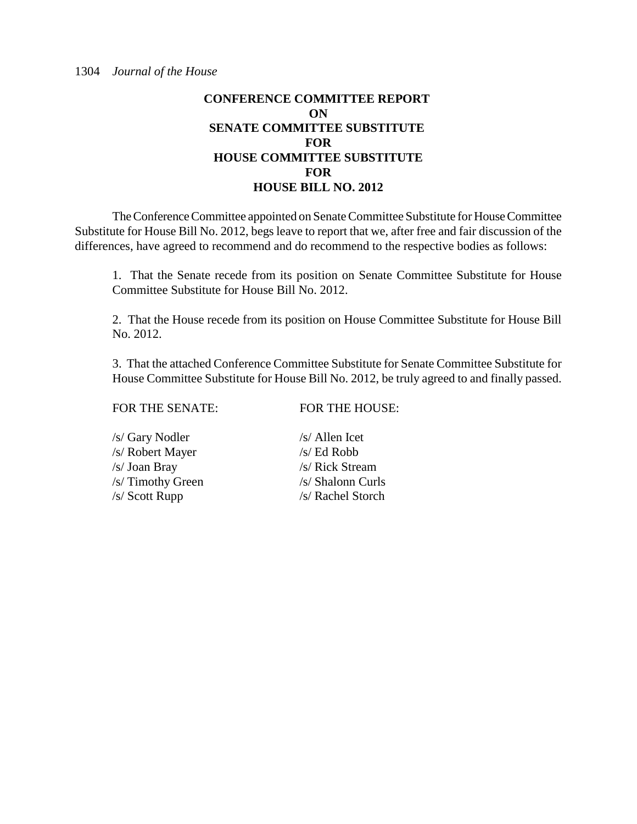The Conference Committee appointed on Senate Committee Substitute for House Committee Substitute for House Bill No. 2012, begs leave to report that we, after free and fair discussion of the differences, have agreed to recommend and do recommend to the respective bodies as follows:

1. That the Senate recede from its position on Senate Committee Substitute for House Committee Substitute for House Bill No. 2012.

2. That the House recede from its position on House Committee Substitute for House Bill No. 2012.

3. That the attached Conference Committee Substitute for Senate Committee Substitute for House Committee Substitute for House Bill No. 2012, be truly agreed to and finally passed.

FOR THE SENATE: FOR THE HOUSE:

/s/ Gary Nodler /s/ Allen Icet /s/ Robert Mayer /s/ Ed Robb /s/ Joan Bray /s/ Rick Stream /s/ Timothy Green /s/ Shalonn Curls /s/ Scott Rupp /s/ Rachel Storch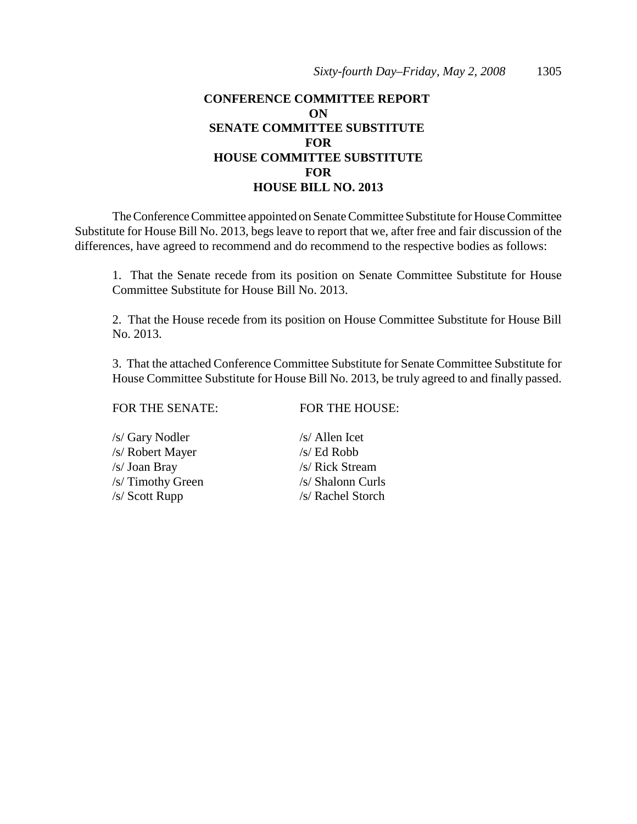The Conference Committee appointed on Senate Committee Substitute for House Committee Substitute for House Bill No. 2013, begs leave to report that we, after free and fair discussion of the differences, have agreed to recommend and do recommend to the respective bodies as follows:

1. That the Senate recede from its position on Senate Committee Substitute for House Committee Substitute for House Bill No. 2013.

2. That the House recede from its position on House Committee Substitute for House Bill No. 2013.

3. That the attached Conference Committee Substitute for Senate Committee Substitute for House Committee Substitute for House Bill No. 2013, be truly agreed to and finally passed.

#### FOR THE SENATE: FOR THE HOUSE:

/s/ Gary Nodler /s/ Allen Icet /s/ Robert Mayer /s/ Ed Robb /s/ Joan Bray /s/ Rick Stream /s/ Timothy Green /s/ Shalonn Curls /s/ Scott Rupp /s/ Rachel Storch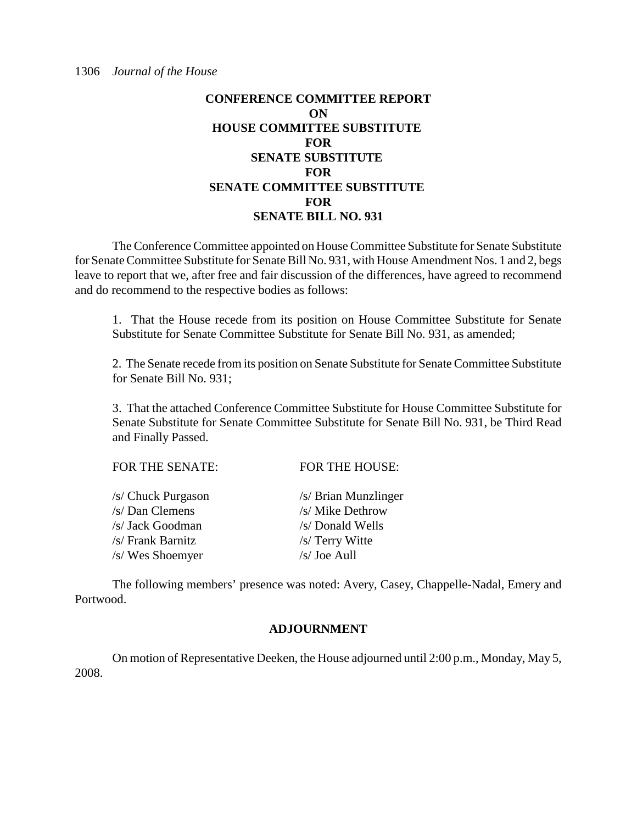# **CONFERENCE COMMITTEE REPORT ON HOUSE COMMITTEE SUBSTITUTE FOR SENATE SUBSTITUTE FOR SENATE COMMITTEE SUBSTITUTE FOR SENATE BILL NO. 931**

The Conference Committee appointed on House Committee Substitute for Senate Substitute for Senate Committee Substitute for Senate Bill No. 931, with House Amendment Nos. 1 and 2, begs leave to report that we, after free and fair discussion of the differences, have agreed to recommend and do recommend to the respective bodies as follows:

1. That the House recede from its position on House Committee Substitute for Senate Substitute for Senate Committee Substitute for Senate Bill No. 931, as amended;

2. The Senate recede from its position on Senate Substitute for Senate Committee Substitute for Senate Bill No. 931;

3. That the attached Conference Committee Substitute for House Committee Substitute for Senate Substitute for Senate Committee Substitute for Senate Bill No. 931, be Third Read and Finally Passed.

| <b>FOR THE SENATE:</b> | <b>FOR THE HOUSE:</b> |
|------------------------|-----------------------|
| /s/ Chuck Purgason     | /s/ Brian Munzlinger  |
| /s/ Dan Clemens        | /s/ Mike Dethrow      |
| /s/ Jack Goodman       | /s/ Donald Wells      |
| /s/ Frank Barnitz      | /s/ Terry Witte       |
| /s/ Wes Shoemyer       | $/s/$ Joe Aull        |

The following members' presence was noted: Avery, Casey, Chappelle-Nadal, Emery and Portwood.

#### **ADJOURNMENT**

On motion of Representative Deeken, the House adjourned until 2:00 p.m., Monday, May 5, 2008.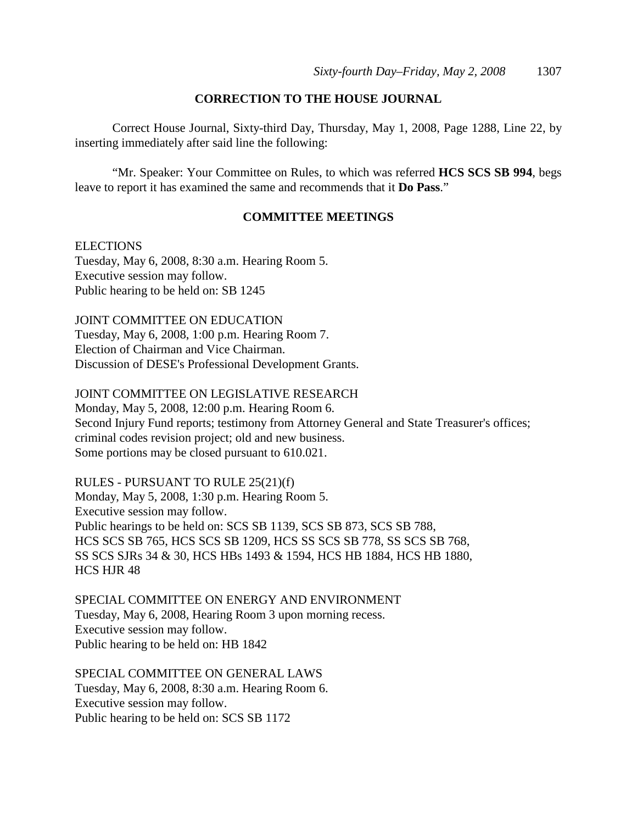#### **CORRECTION TO THE HOUSE JOURNAL**

Correct House Journal, Sixty-third Day, Thursday, May 1, 2008, Page 1288, Line 22, by inserting immediately after said line the following:

"Mr. Speaker: Your Committee on Rules, to which was referred **HCS SCS SB 994**, begs leave to report it has examined the same and recommends that it **Do Pass**."

#### **COMMITTEE MEETINGS**

#### **ELECTIONS**

Tuesday, May 6, 2008, 8:30 a.m. Hearing Room 5. Executive session may follow. Public hearing to be held on: SB 1245

JOINT COMMITTEE ON EDUCATION Tuesday, May 6, 2008, 1:00 p.m. Hearing Room 7. Election of Chairman and Vice Chairman. Discussion of DESE's Professional Development Grants.

#### JOINT COMMITTEE ON LEGISLATIVE RESEARCH

Monday, May 5, 2008, 12:00 p.m. Hearing Room 6. Second Injury Fund reports; testimony from Attorney General and State Treasurer's offices; criminal codes revision project; old and new business. Some portions may be closed pursuant to 610.021.

RULES - PURSUANT TO RULE 25(21)(f) Monday, May 5, 2008, 1:30 p.m. Hearing Room 5. Executive session may follow.

Public hearings to be held on: SCS SB 1139, SCS SB 873, SCS SB 788, HCS SCS SB 765, HCS SCS SB 1209, HCS SS SCS SB 778, SS SCS SB 768, SS SCS SJRs 34 & 30, HCS HBs 1493 & 1594, HCS HB 1884, HCS HB 1880, HCS HJR 48

SPECIAL COMMITTEE ON ENERGY AND ENVIRONMENT Tuesday, May 6, 2008, Hearing Room 3 upon morning recess. Executive session may follow. Public hearing to be held on: HB 1842

SPECIAL COMMITTEE ON GENERAL LAWS Tuesday, May 6, 2008, 8:30 a.m. Hearing Room 6. Executive session may follow. Public hearing to be held on: SCS SB 1172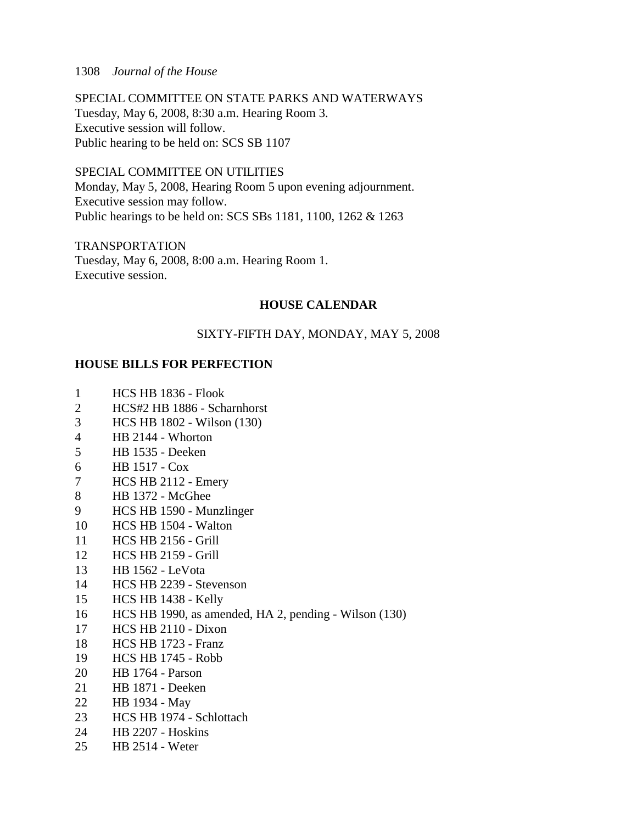#### 1308 *Journal of the House*

SPECIAL COMMITTEE ON STATE PARKS AND WATERWAYS Tuesday, May 6, 2008, 8:30 a.m. Hearing Room 3. Executive session will follow. Public hearing to be held on: SCS SB 1107

SPECIAL COMMITTEE ON UTILITIES Monday, May 5, 2008, Hearing Room 5 upon evening adjournment. Executive session may follow. Public hearings to be held on: SCS SBs 1181, 1100, 1262 & 1263

TRANSPORTATION Tuesday, May 6, 2008, 8:00 a.m. Hearing Room 1. Executive session.

#### **HOUSE CALENDAR**

#### SIXTY-FIFTH DAY, MONDAY, MAY 5, 2008

#### **HOUSE BILLS FOR PERFECTION**

- 1 HCS HB 1836 Flook
- 2 HCS#2 HB 1886 Scharnhorst
- 3 HCS HB 1802 Wilson (130)
- 4 HB 2144 Whorton
- 5 HB 1535 Deeken
- 6 HB 1517 Cox
- 7 HCS HB 2112 Emery
- 8 HB 1372 McGhee
- 9 HCS HB 1590 Munzlinger
- 10 HCS HB 1504 Walton
- 11 HCS HB 2156 Grill
- 12 HCS HB 2159 Grill
- 13 HB 1562 LeVota
- 14 HCS HB 2239 Stevenson
- 15 HCS HB 1438 Kelly
- 16 HCS HB 1990, as amended, HA 2, pending Wilson (130)
- 17 HCS HB 2110 Dixon
- 18 HCS HB 1723 Franz
- 19 HCS HB 1745 Robb
- 20 HB 1764 Parson
- 21 HB 1871 Deeken
- 22 HB 1934 May
- 23 HCS HB 1974 Schlottach
- 24 HB 2207 Hoskins
- 25 HB 2514 Weter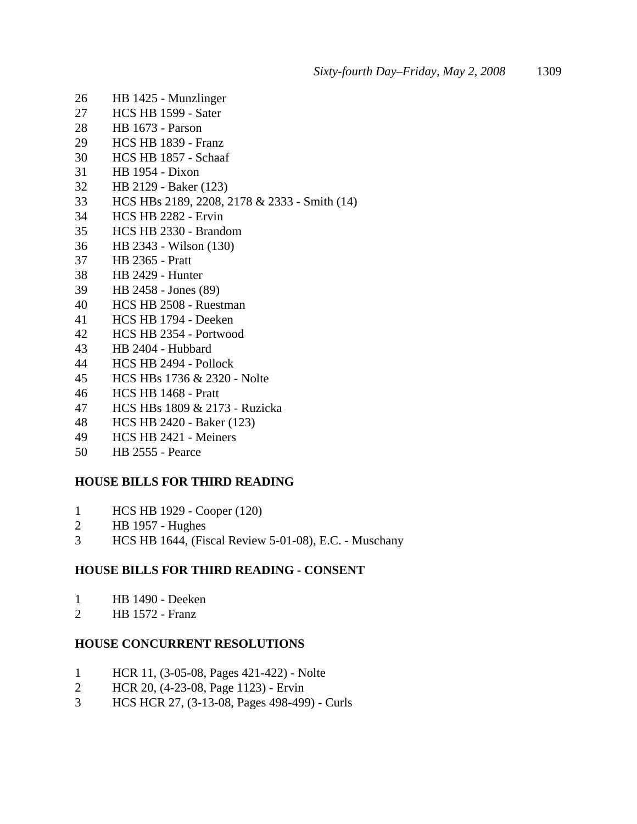- 26 HB 1425 Munzlinger
- 27 HCS HB 1599 Sater
- 28 HB 1673 Parson
- 29 HCS HB 1839 Franz
- 30 HCS HB 1857 Schaaf
- 31 HB 1954 Dixon
- 32 HB 2129 Baker (123)
- 33 HCS HBs 2189, 2208, 2178 & 2333 Smith (14)
- 34 HCS HB 2282 Ervin
- 35 HCS HB 2330 Brandom
- 36 HB 2343 Wilson (130)
- 37 HB 2365 Pratt
- 38 HB 2429 Hunter
- 39 HB 2458 Jones (89)
- 40 HCS HB 2508 Ruestman
- 41 HCS HB 1794 Deeken
- 42 HCS HB 2354 Portwood
- 43 HB 2404 Hubbard
- 44 HCS HB 2494 Pollock
- 45 HCS HBs 1736 & 2320 Nolte
- 46 HCS HB 1468 Pratt
- 47 HCS HBs 1809 & 2173 Ruzicka
- 48 HCS HB 2420 Baker (123)
- 49 HCS HB 2421 Meiners
- 50 HB 2555 Pearce

#### **HOUSE BILLS FOR THIRD READING**

- 1 HCS HB 1929 Cooper (120)
- 2 HB 1957 Hughes
- 3 HCS HB 1644, (Fiscal Review 5-01-08), E.C. Muschany

#### **HOUSE BILLS FOR THIRD READING - CONSENT**

- 1 HB 1490 Deeken
- 2 HB 1572 Franz

#### **HOUSE CONCURRENT RESOLUTIONS**

- 1 HCR 11, (3-05-08, Pages 421-422) Nolte
- 2 HCR 20, (4-23-08, Page 1123) Ervin
- 3 HCS HCR 27, (3-13-08, Pages 498-499) Curls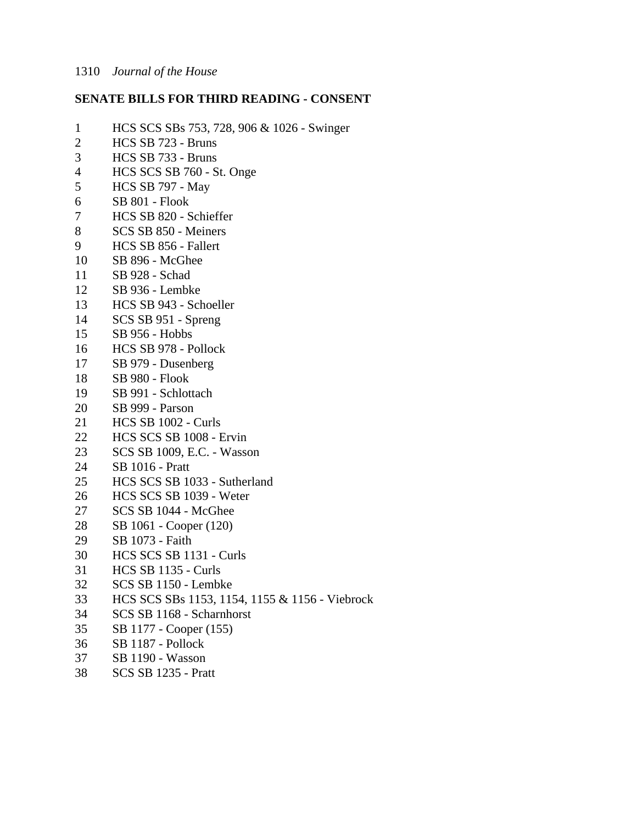#### **SENATE BILLS FOR THIRD READING - CONSENT**

- 1 HCS SCS SBs 753, 728, 906 & 1026 Swinger 2 HCS SB 723 - Bruns 3 HCS SB 733 - Bruns 4 HCS SCS SB 760 - St. Onge 5 HCS SB 797 - May 6 SB 801 - Flook 7 HCS SB 820 - Schieffer 8 SCS SB 850 - Meiners 9 HCS SB 856 - Fallert 10 SB 896 - McGhee 11 SB 928 - Schad 12 SB 936 - Lembke 13 HCS SB 943 - Schoeller 14 SCS SB 951 - Spreng 15 SB 956 - Hobbs 16 HCS SB 978 - Pollock 17 SB 979 - Dusenberg 18 SB 980 - Flook 19 SB 991 - Schlottach 20 SB 999 - Parson 21 HCS SB 1002 - Curls 22 HCS SCS SB 1008 - Ervin 23 SCS SB 1009, E.C. - Wasson 24 SB 1016 - Pratt 25 HCS SCS SB 1033 - Sutherland 26 HCS SCS SB 1039 - Weter<br>27 SCS SB 1044 - McGhee SCS SB 1044 - McGhee 28 SB 1061 - Cooper (120) 29 SB 1073 - Faith 30 HCS SCS SB 1131 - Curls 31 HCS SB 1135 - Curls 32 SCS SB 1150 - Lembke 33 HCS SCS SBs 1153, 1154, 1155 & 1156 - Viebrock 34 SCS SB 1168 - Scharnhorst 35 SB 1177 - Cooper (155) 36 SB 1187 - Pollock
- 37 SB 1190 Wasson
- 38 SCS SB 1235 Pratt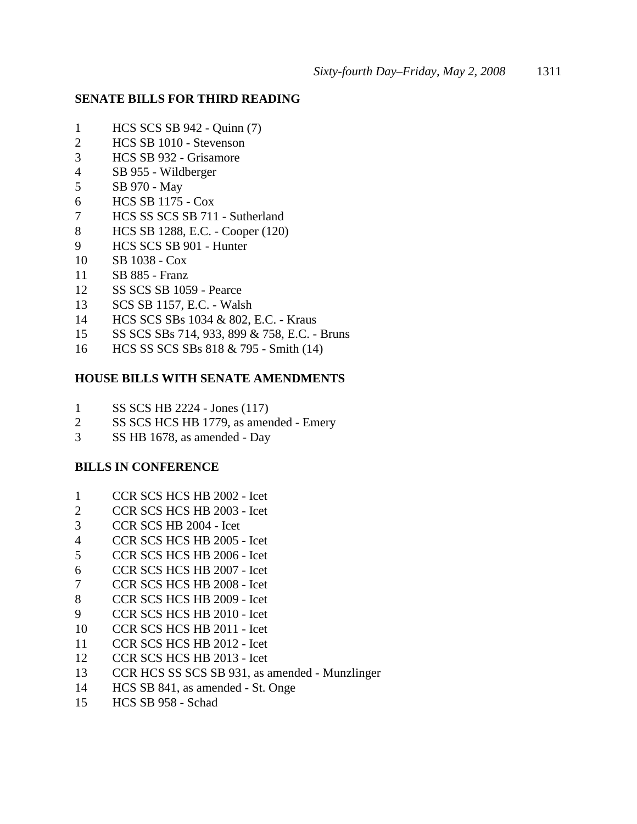#### **SENATE BILLS FOR THIRD READING**

- 1 HCS SCS SB 942 Quinn (7)
- 2 HCS SB 1010 Stevenson
- 3 HCS SB 932 Grisamore
- 4 SB 955 Wildberger
- 5 SB 970 May
- 6 HCS SB 1175 Cox
- 7 HCS SS SCS SB 711 Sutherland
- 8 HCS SB 1288, E.C. Cooper (120)
- 9 HCS SCS SB 901 Hunter
- 10 SB 1038 Cox
- 11 SB 885 Franz
- 12 SS SCS SB 1059 Pearce
- 13 SCS SB 1157, E.C. Walsh
- 14 HCS SCS SBs 1034 & 802, E.C. Kraus
- 15 SS SCS SBs 714, 933, 899 & 758, E.C. Bruns
- 16 HCS SS SCS SBs 818 & 795 Smith (14)

#### **HOUSE BILLS WITH SENATE AMENDMENTS**

- 1 SS SCS HB 2224 Jones (117)
- 2 SS SCS HCS HB 1779, as amended Emery
- 3 SS HB 1678, as amended Day

#### **BILLS IN CONFERENCE**

- 1 CCR SCS HCS HB 2002 Icet<br>2 CCR SCS HCS HB 2003 Icet
- 2 CCR SCS HCS HB 2003 Icet
- 3 CCR SCS HB 2004 Icet
- 4 CCR SCS HCS HB 2005 Icet
- 5 CCR SCS HCS HB 2006 Icet
- 6 CCR SCS HCS HB 2007 Icet
- 7 CCR SCS HCS HB 2008 Icet
- 8 CCR SCS HCS HB 2009 Icet
- 9 CCR SCS HCS HB 2010 Icet
- 10 CCR SCS HCS HB 2011 Icet
- 11 CCR SCS HCS HB 2012 Icet
- 12 CCR SCS HCS HB 2013 Icet
- 13 CCR HCS SS SCS SB 931, as amended Munzlinger
- 14 HCS SB 841, as amended St. Onge
- 15 HCS SB 958 Schad